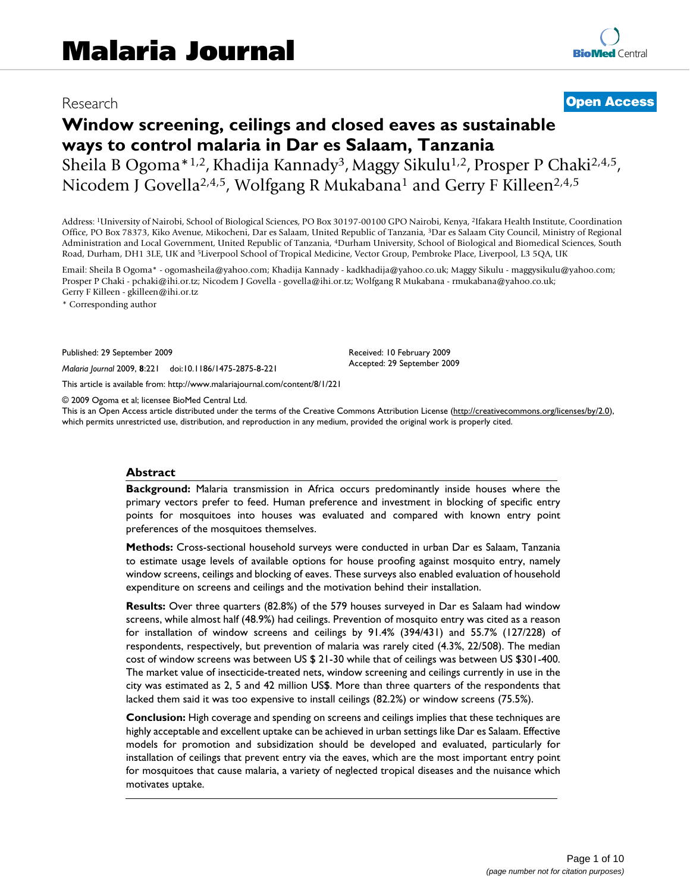## Research

# **[Open Access](http://www.biomedcentral.com/info/about/charter/)**

# **Window screening, ceilings and closed eaves as sustainable ways to control malaria in Dar es Salaam, Tanzania** Sheila B Ogoma<sup>\*1,2</sup>, Khadija Kannady<sup>3</sup>, Maggy Sikulu<sup>1,2</sup>, Prosper P Chaki<sup>2,4,5</sup>, Nicodem J Govella<sup>2,4,5</sup>, Wolfgang R Mukabana<sup>1</sup> and Gerry F Killeen<sup>2,4,5</sup>

Address: 1University of Nairobi, School of Biological Sciences, PO Box 30197-00100 GPO Nairobi, Kenya, 2Ifakara Health Institute, Coordination Office, PO Box 78373, Kiko Avenue, Mikocheni, Dar es Salaam, United Republic of Tanzania, 3Dar es Salaam City Council, Ministry of Regional Administration and Local Government, United Republic of Tanzania, 4Durham University, School of Biological and Biomedical Sciences, South Road, Durham, DH1 3LE, UK and 5Liverpool School of Tropical Medicine, Vector Group, Pembroke Place, Liverpool, L3 5QA, UK

Email: Sheila B Ogoma\* - ogomasheila@yahoo.com; Khadija Kannady - kadkhadija@yahoo.co.uk; Maggy Sikulu - maggysikulu@yahoo.com; Prosper P Chaki - pchaki@ihi.or.tz; Nicodem J Govella - govella@ihi.or.tz; Wolfgang R Mukabana - rmukabana@yahoo.co.uk; Gerry F Killeen - gkilleen@ihi.or.tz

\* Corresponding author

Published: 29 September 2009

*Malaria Journal* 2009, **8**:221 doi:10.1186/1475-2875-8-221

[This article is available from: http://www.malariajournal.com/content/8/1/221](http://www.malariajournal.com/content/8/1/221)

© 2009 Ogoma et al; licensee BioMed Central Ltd.

This is an Open Access article distributed under the terms of the Creative Commons Attribution License [\(http://creativecommons.org/licenses/by/2.0\)](http://creativecommons.org/licenses/by/2.0), which permits unrestricted use, distribution, and reproduction in any medium, provided the original work is properly cited.

Received: 10 February 2009 Accepted: 29 September 2009

#### **Abstract**

**Background:** Malaria transmission in Africa occurs predominantly inside houses where the primary vectors prefer to feed. Human preference and investment in blocking of specific entry points for mosquitoes into houses was evaluated and compared with known entry point preferences of the mosquitoes themselves.

**Methods:** Cross-sectional household surveys were conducted in urban Dar es Salaam, Tanzania to estimate usage levels of available options for house proofing against mosquito entry, namely window screens, ceilings and blocking of eaves. These surveys also enabled evaluation of household expenditure on screens and ceilings and the motivation behind their installation.

**Results:** Over three quarters (82.8%) of the 579 houses surveyed in Dar es Salaam had window screens, while almost half (48.9%) had ceilings. Prevention of mosquito entry was cited as a reason for installation of window screens and ceilings by 91.4% (394/431) and 55.7% (127/228) of respondents, respectively, but prevention of malaria was rarely cited (4.3%, 22/508). The median cost of window screens was between US \$ 21-30 while that of ceilings was between US \$301-400. The market value of insecticide-treated nets, window screening and ceilings currently in use in the city was estimated as 2, 5 and 42 million US\$. More than three quarters of the respondents that lacked them said it was too expensive to install ceilings (82.2%) or window screens (75.5%).

**Conclusion:** High coverage and spending on screens and ceilings implies that these techniques are highly acceptable and excellent uptake can be achieved in urban settings like Dar es Salaam. Effective models for promotion and subsidization should be developed and evaluated, particularly for installation of ceilings that prevent entry via the eaves, which are the most important entry point for mosquitoes that cause malaria, a variety of neglected tropical diseases and the nuisance which motivates uptake.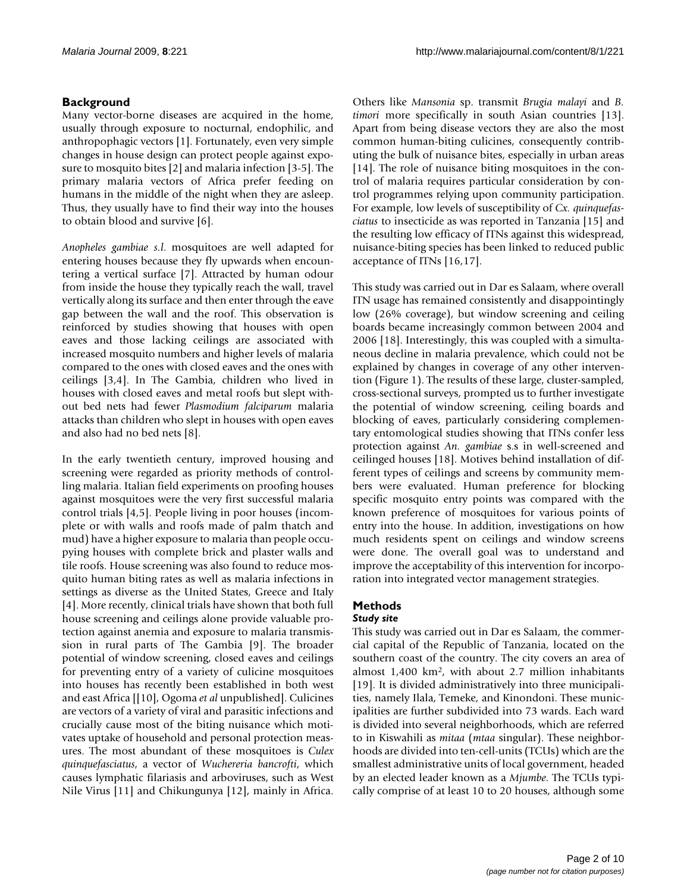## **Background**

Many vector-borne diseases are acquired in the home, usually through exposure to nocturnal, endophilic, and anthropophagic vectors [[1](#page-8-0)]. Fortunately, even very simple changes in house design can protect people against exposure to mosquito bites [\[2](#page-9-0)] and malaria infection [[3](#page-9-1)[-5\]](#page-9-2). The primary malaria vectors of Africa prefer feeding on humans in the middle of the night when they are asleep. Thus, they usually have to find their way into the houses to obtain blood and survive [\[6\]](#page-9-3).

*Anopheles gambiae s.l*. mosquitoes are well adapted for entering houses because they fly upwards when encountering a vertical surface [[7](#page-9-4)]. Attracted by human odour from inside the house they typically reach the wall, travel vertically along its surface and then enter through the eave gap between the wall and the roof. This observation is reinforced by studies showing that houses with open eaves and those lacking ceilings are associated with increased mosquito numbers and higher levels of malaria compared to the ones with closed eaves and the ones with ceilings [[3](#page-9-1)[,4\]](#page-9-5). In The Gambia, children who lived in houses with closed eaves and metal roofs but slept without bed nets had fewer *Plasmodium falciparum* malaria attacks than children who slept in houses with open eaves and also had no bed nets [[8](#page-9-6)].

In the early twentieth century, improved housing and screening were regarded as priority methods of controlling malaria. Italian field experiments on proofing houses against mosquitoes were the very first successful malaria control trials [\[4](#page-9-5)[,5\]](#page-9-2). People living in poor houses (incomplete or with walls and roofs made of palm thatch and mud) have a higher exposure to malaria than people occupying houses with complete brick and plaster walls and tile roofs. House screening was also found to reduce mosquito human biting rates as well as malaria infections in settings as diverse as the United States, Greece and Italy [[4\]](#page-9-5). More recently, clinical trials have shown that both full house screening and ceilings alone provide valuable protection against anemia and exposure to malaria transmission in rural parts of The Gambia [[9](#page-9-7)]. The broader potential of window screening, closed eaves and ceilings for preventing entry of a variety of culicine mosquitoes into houses has recently been established in both west and east Africa [[[10](#page-9-8)], Ogoma *et al* unpublished]. Culicines are vectors of a variety of viral and parasitic infections and crucially cause most of the biting nuisance which motivates uptake of household and personal protection measures. The most abundant of these mosquitoes is *Culex quinquefasciatus*, a vector of *Wuchereria bancrofti*, which causes lymphatic filariasis and arboviruses, such as West Nile Virus [\[11](#page-9-9)] and Chikungunya [[12\]](#page-9-10), mainly in Africa.

Others like *Mansonia* sp. transmit *Brugia malayi* and *B. timori* more specifically in south Asian countries [\[13](#page-9-11)]. Apart from being disease vectors they are also the most common human-biting culicines, consequently contributing the bulk of nuisance bites, especially in urban areas [[14](#page-9-12)]. The role of nuisance biting mosquitoes in the control of malaria requires particular consideration by control programmes relying upon community participation. For example, low levels of susceptibility of *Cx. quinquefasciatus* to insecticide as was reported in Tanzania [[15\]](#page-9-13) and the resulting low efficacy of ITNs against this widespread, nuisance-biting species has been linked to reduced public acceptance of ITNs [[16,](#page-9-14)[17\]](#page-9-15).

This study was carried out in Dar es Salaam, where overall ITN usage has remained consistently and disappointingly low (26% coverage), but window screening and ceiling boards became increasingly common between 2004 and 2006 [[18\]](#page-9-16). Interestingly, this was coupled with a simultaneous decline in malaria prevalence, which could not be explained by changes in coverage of any other intervention (Figure [1](#page-2-0)). The results of these large, cluster-sampled, cross-sectional surveys, prompted us to further investigate the potential of window screening, ceiling boards and blocking of eaves, particularly considering complementary entomological studies showing that ITNs confer less protection against *An. gambiae* s.s in well-screened and ceilinged houses [[18\]](#page-9-16). Motives behind installation of different types of ceilings and screens by community members were evaluated. Human preference for blocking specific mosquito entry points was compared with the known preference of mosquitoes for various points of entry into the house. In addition, investigations on how much residents spent on ceilings and window screens were done. The overall goal was to understand and improve the acceptability of this intervention for incorporation into integrated vector management strategies.

## **Methods**

#### *Study site*

This study was carried out in Dar es Salaam, the commercial capital of the Republic of Tanzania, located on the southern coast of the country. The city covers an area of almost 1,400 km2, with about 2.7 million inhabitants [[19](#page-9-17)]. It is divided administratively into three municipalities, namely Ilala, Temeke, and Kinondoni. These municipalities are further subdivided into 73 wards. Each ward is divided into several neighborhoods, which are referred to in Kiswahili as *mitaa* (*mtaa* singular). These neighborhoods are divided into ten-cell-units (TCUs) which are the smallest administrative units of local government, headed by an elected leader known as a *Mjumbe*. The TCUs typically comprise of at least 10 to 20 houses, although some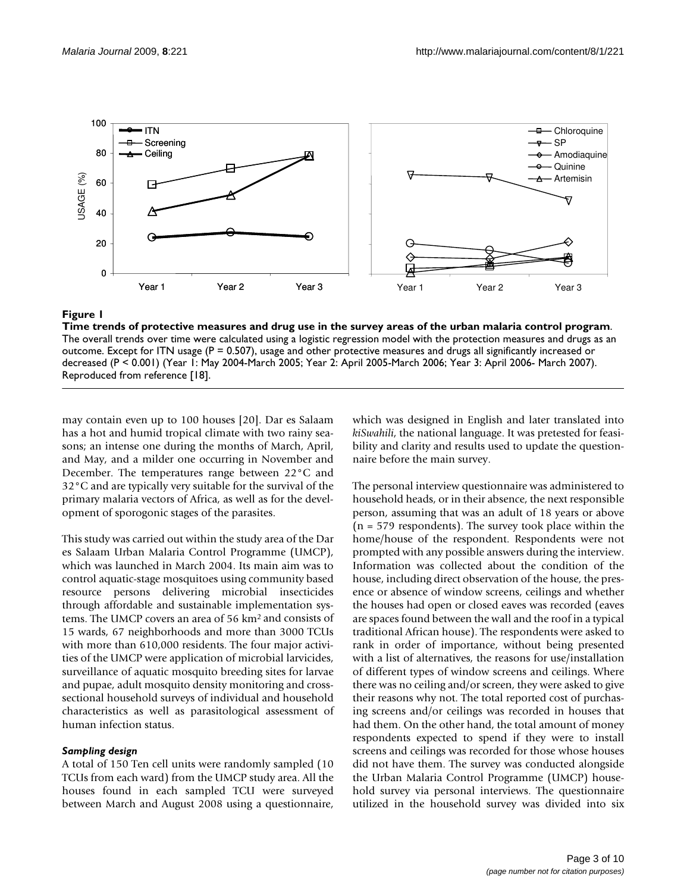<span id="page-2-0"></span>

#### Time trends of protective measures **Figure 1** and drug use in the survey areas of the urban malaria control program

**Time trends of protective measures and drug use in the survey areas of the urban malaria control program**. The overall trends over time were calculated using a logistic regression model with the protection measures and drugs as an outcome. Except for ITN usage ( $P = 0.507$ ), usage and other protective measures and drugs all significantly increased or decreased (P < 0.001) (Year 1: May 2004-March 2005; Year 2: April 2005-March 2006; Year 3: April 2006- March 2007). Reproduced from reference [[18\]](#page-9-16).

may contain even up to 100 houses [\[20](#page-9-18)]. Dar es Salaam has a hot and humid tropical climate with two rainy seasons; an intense one during the months of March, April, and May, and a milder one occurring in November and December. The temperatures range between 22°C and 32°C and are typically very suitable for the survival of the primary malaria vectors of Africa, as well as for the development of sporogonic stages of the parasites.

This study was carried out within the study area of the Dar es Salaam Urban Malaria Control Programme (UMCP), which was launched in March 2004. Its main aim was to control aquatic-stage mosquitoes using community based resource persons delivering microbial insecticides through affordable and sustainable implementation systems. The UMCP covers an area of 56 km2 and consists of 15 wards, 67 neighborhoods and more than 3000 TCUs with more than 610,000 residents. The four major activities of the UMCP were application of microbial larvicides, surveillance of aquatic mosquito breeding sites for larvae and pupae, adult mosquito density monitoring and crosssectional household surveys of individual and household characteristics as well as parasitological assessment of human infection status.

#### *Sampling design*

A total of 150 Ten cell units were randomly sampled (10 TCUs from each ward) from the UMCP study area. All the houses found in each sampled TCU were surveyed between March and August 2008 using a questionnaire,

which was designed in English and later translated into *kiSwahili*, the national language. It was pretested for feasibility and clarity and results used to update the questionnaire before the main survey.

The personal interview questionnaire was administered to household heads, or in their absence, the next responsible person, assuming that was an adult of 18 years or above  $(n = 579$  respondents). The survey took place within the home/house of the respondent. Respondents were not prompted with any possible answers during the interview. Information was collected about the condition of the house, including direct observation of the house, the presence or absence of window screens, ceilings and whether the houses had open or closed eaves was recorded (eaves are spaces found between the wall and the roof in a typical traditional African house). The respondents were asked to rank in order of importance, without being presented with a list of alternatives, the reasons for use/installation of different types of window screens and ceilings. Where there was no ceiling and/or screen, they were asked to give their reasons why not. The total reported cost of purchasing screens and/or ceilings was recorded in houses that had them. On the other hand, the total amount of money respondents expected to spend if they were to install screens and ceilings was recorded for those whose houses did not have them. The survey was conducted alongside the Urban Malaria Control Programme (UMCP) household survey via personal interviews. The questionnaire utilized in the household survey was divided into six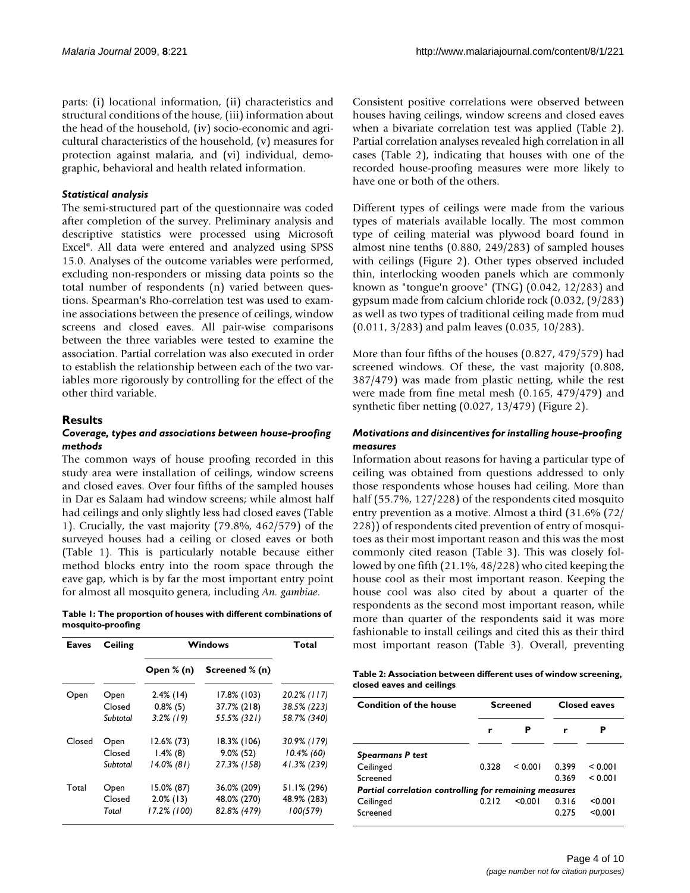parts: (i) locational information, (ii) characteristics and structural conditions of the house, (iii) information about the head of the household, (iv) socio-economic and agricultural characteristics of the household, (v) measures for protection against malaria, and (vi) individual, demographic, behavioral and health related information.

#### *Statistical analysis*

The semi-structured part of the questionnaire was coded after completion of the survey. Preliminary analysis and descriptive statistics were processed using Microsoft Excel®. All data were entered and analyzed using SPSS 15.0. Analyses of the outcome variables were performed, excluding non-responders or missing data points so the total number of respondents (n) varied between questions. Spearman's Rho-correlation test was used to examine associations between the presence of ceilings, window screens and closed eaves. All pair-wise comparisons between the three variables were tested to examine the association. Partial correlation was also executed in order to establish the relationship between each of the two variables more rigorously by controlling for the effect of the other third variable.

#### **Results**

#### *Coverage, types and associations between house-proofing methods*

The common ways of house proofing recorded in this study area were installation of ceilings, window screens and closed eaves. Over four fifths of the sampled houses in Dar es Salaam had window screens; while almost half had ceilings and only slightly less had closed eaves (Table [1\)](#page-3-0). Crucially, the vast majority (79.8%, 462/579) of the surveyed houses had a ceiling or closed eaves or both (Table [1](#page-3-0)). This is particularly notable because either method blocks entry into the room space through the eave gap, which is by far the most important entry point for almost all mosquito genera, including *An. gambiae*.

<span id="page-3-0"></span>**Table 1: The proportion of houses with different combinations of mosquito-proofing**

| <b>Eaves</b> | Ceiling                 |                                           | <b>Windows</b>                            | Total                                     |
|--------------|-------------------------|-------------------------------------------|-------------------------------------------|-------------------------------------------|
|              |                         | Open $% (n)$                              | Screened % (n)                            |                                           |
| Open         | Open                    | $2.4\%$ (14)                              | 17.8% (103)                               | 20.2% (117)                               |
|              | Closed                  | $0.8\%$ (5)                               | 37.7% (218)                               | 38.5% (223)                               |
|              | Subtotal                | $3.2\%$ (19)                              | 55.5% (321)                               | 58.7% (340)                               |
| Closed       | Open                    | 12.6% (73)                                | 18.3% (106)                               | 30.9% (179)                               |
|              | Closed                  | $1.4\%$ (8)                               | $9.0\%$ (52)                              | $10.4\%$ (60)                             |
|              | Subtotal                | $14.0\%$ (81)                             | 27.3% (158)                               | 41.3% (239)                               |
| Total        | Open<br>Closed<br>Total | 15.0% (87)<br>$2.0\%$ (13)<br>17.2% (100) | 36.0% (209)<br>48.0% (270)<br>82.8% (479) | $51.1\% (296)$<br>48.9% (283)<br>100(579) |
|              |                         |                                           |                                           |                                           |

Consistent positive correlations were observed between houses having ceilings, window screens and closed eaves when a bivariate correlation test was applied (Table [2\)](#page-3-1). Partial correlation analyses revealed high correlation in all cases (Table [2](#page-3-1)), indicating that houses with one of the recorded house-proofing measures were more likely to have one or both of the others.

Different types of ceilings were made from the various types of materials available locally. The most common type of ceiling material was plywood board found in almost nine tenths (0.880, 249/283) of sampled houses with ceilings (Figure [2\)](#page-4-0). Other types observed included thin, interlocking wooden panels which are commonly known as "tongue'n groove" (TNG) (0.042, 12/283) and gypsum made from calcium chloride rock (0.032, (9/283) as well as two types of traditional ceiling made from mud (0.011, 3/283) and palm leaves (0.035, 10/283).

More than four fifths of the houses (0.827, 479/579) had screened windows. Of these, the vast majority (0.808, 387/479) was made from plastic netting, while the rest were made from fine metal mesh (0.165, 479/479) and synthetic fiber netting (0.027, 13/479) (Figure [2\)](#page-4-0).

#### *Motivations and disincentives for installing house-proofing measures*

Information about reasons for having a particular type of ceiling was obtained from questions addressed to only those respondents whose houses had ceiling. More than half (55.7%, 127/228) of the respondents cited mosquito entry prevention as a motive. Almost a third (31.6% (72/ 228)) of respondents cited prevention of entry of mosquitoes as their most important reason and this was the most commonly cited reason (Table [3](#page-5-0)). This was closely followed by one fifth (21.1%, 48/228) who cited keeping the house cool as their most important reason. Keeping the house cool was also cited by about a quarter of the respondents as the second most important reason, while more than quarter of the respondents said it was more fashionable to install ceilings and cited this as their third most important reason (Table [3](#page-5-0)). Overall, preventing

<span id="page-3-1"></span>

| Table 2: Association between different uses of window screening, |  |
|------------------------------------------------------------------|--|
| closed eaves and ceilings                                        |  |

| <b>Condition of the house</b>                          |       | <b>Screened</b> |       | <b>Closed eaves</b> |
|--------------------------------------------------------|-------|-----------------|-------|---------------------|
|                                                        | r     | Р               | r     | Р                   |
| <b>Spearmans P test</b>                                |       |                 |       |                     |
| Ceilinged                                              | 0.328 | 0.001           | 0.399 | 0.001               |
| Screened                                               |       |                 | 0.369 | < 0.001             |
| Partial correlation controlling for remaining measures |       |                 |       |                     |
| Ceilinged                                              | 0.212 | < 0.001         | 0316  | < 0.001             |
| Screened                                               |       |                 | 0.275 | < 0.001             |
|                                                        |       |                 |       |                     |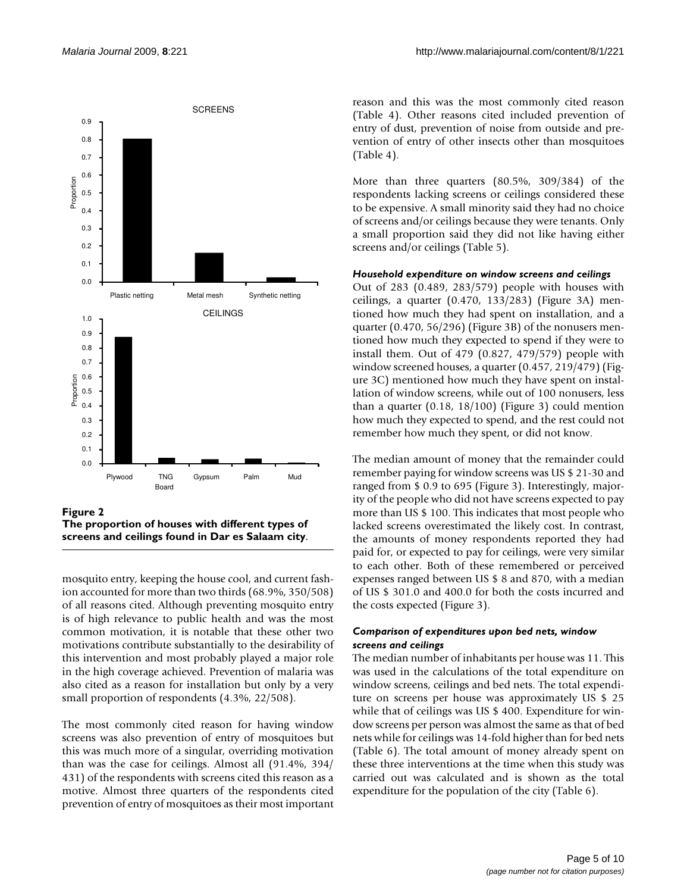<span id="page-4-0"></span>

Figure 2 **The proportion of houses with different types of** 

mosquito entry, keeping the house cool, and current fashion accounted for more than two thirds (68.9%, 350/508) of all reasons cited. Although preventing mosquito entry is of high relevance to public health and was the most common motivation, it is notable that these other two motivations contribute substantially to the desirability of this intervention and most probably played a major role in the high coverage achieved. Prevention of malaria was also cited as a reason for installation but only by a very small proportion of respondents (4.3%, 22/508).

The most commonly cited reason for having window screens was also prevention of entry of mosquitoes but this was much more of a singular, overriding motivation than was the case for ceilings. Almost all (91.4%, 394/ 431) of the respondents with screens cited this reason as a motive. Almost three quarters of the respondents cited prevention of entry of mosquitoes as their most important reason and this was the most commonly cited reason (Table [4](#page-5-1)). Other reasons cited included prevention of entry of dust, prevention of noise from outside and prevention of entry of other insects other than mosquitoes (Table [4\)](#page-5-1).

More than three quarters (80.5%, 309/384) of the respondents lacking screens or ceilings considered these to be expensive. A small minority said they had no choice of screens and/or ceilings because they were tenants. Only a small proportion said they did not like having either screens and/or ceilings (Table [5\)](#page-6-0).

#### *Household expenditure on window screens and ceilings*

Out of 283 (0.489, 283/579) people with houses with ceilings, a quarter (0.470, 133/283) (Figure [3](#page-7-0)A) mentioned how much they had spent on installation, and a quarter (0.470, 56/296) (Figure [3](#page-7-0)B) of the nonusers mentioned how much they expected to spend if they were to install them. Out of 479 (0.827, 479/579) people with window screened houses, a quarter (0.457, 219/479) (Figure [3C](#page-7-0)) mentioned how much they have spent on installation of window screens, while out of 100 nonusers, less than a quarter (0.18, 18/100) (Figure [3](#page-7-0)) could mention how much they expected to spend, and the rest could not remember how much they spent, or did not know.

The median amount of money that the remainder could remember paying for window screens was US \$ 21-30 and ranged from \$ 0.9 to 695 (Figure [3](#page-7-0)). Interestingly, majority of the people who did not have screens expected to pay more than US \$ 100. This indicates that most people who lacked screens overestimated the likely cost. In contrast, the amounts of money respondents reported they had paid for, or expected to pay for ceilings, were very similar to each other. Both of these remembered or perceived expenses ranged between US \$ 8 and 870, with a median of US \$ 301.0 and 400.0 for both the costs incurred and the costs expected (Figure [3\)](#page-7-0).

#### *Comparison of expenditures upon bed nets, window screens and ceilings*

The median number of inhabitants per house was 11. This was used in the calculations of the total expenditure on window screens, ceilings and bed nets. The total expenditure on screens per house was approximately US \$ 25 while that of ceilings was US \$ 400. Expenditure for window screens per person was almost the same as that of bed nets while for ceilings was 14-fold higher than for bed nets (Table [6\)](#page-8-1). The total amount of money already spent on these three interventions at the time when this study was carried out was calculated and is shown as the total expenditure for the population of the city (Table [6\)](#page-8-1).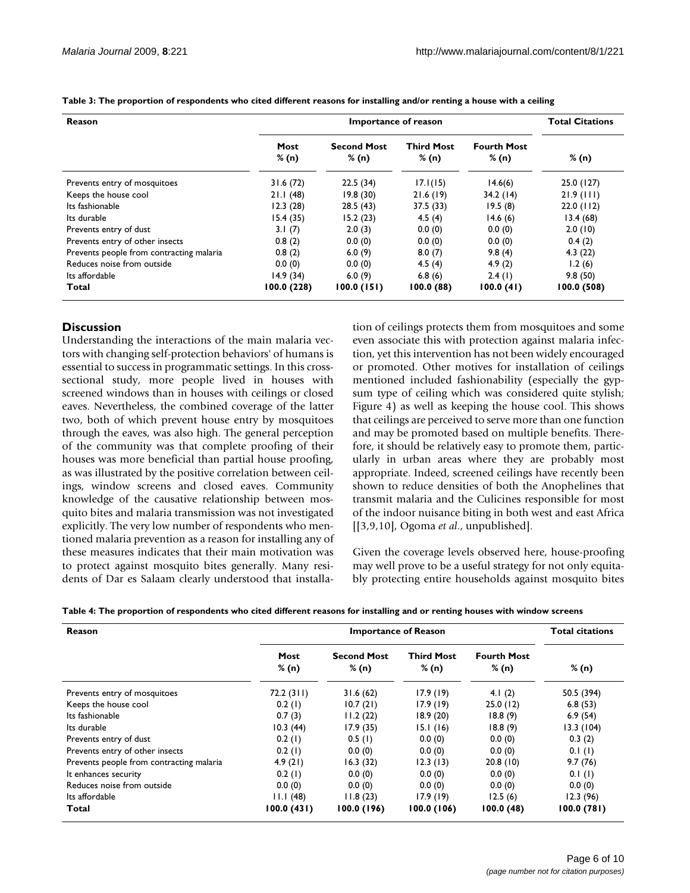| Reason                                   |               | Importance of reason        |                            |                             | <b>Total Citations</b> |
|------------------------------------------|---------------|-----------------------------|----------------------------|-----------------------------|------------------------|
|                                          | Most<br>% (n) | <b>Second Most</b><br>% (n) | <b>Third Most</b><br>% (n) | <b>Fourth Most</b><br>% (n) | % (n)                  |
| Prevents entry of mosquitoes             | 31.6(72)      | 22.5(34)                    | 17.1(15)                   | 14.6(6)                     | 25.0 (127)             |
| Keeps the house cool                     | 21.1(48)      | 19.8(30)                    | 21.6(19)                   | 34.2(14)                    | $21.9$ (111)           |
| Its fashionable                          | 12.3(28)      | 28.5(43)                    | 37.5(33)                   | 19.5(8)                     | 22.0(112)              |
| Its durable                              | 15.4(35)      | 15.2(23)                    | 4.5(4)                     | 14.6(6)                     | 13.4(68)               |
| Prevents entry of dust                   | 3.1(7)        | 2.0(3)                      | 0.0(0)                     | 0.0(0)                      | 2.0(10)                |
| Prevents entry of other insects          | 0.8(2)        | 0.0(0)                      | 0.0(0)                     | 0.0(0)                      | 0.4(2)                 |
| Prevents people from contracting malaria | 0.8(2)        | 6.0(9)                      | 8.0(7)                     | 9.8(4)                      | 4.3(22)                |
| Reduces noise from outside               | 0.0(0)        | 0.0(0)                      | 4.5 $(4)$                  | 4.9(2)                      | 1.2(6)                 |
| Its affordable                           | 14.9(34)      | 6.0(9)                      | 6.8(6)                     | 2.4(1)                      | 9.8(50)                |
| Total                                    | 100.0 (228)   | 100.0(151)                  | 100.0(88)                  | 100.0(41)                   | 100.0(508)             |

<span id="page-5-0"></span>**Table 3: The proportion of respondents who cited different reasons for installing and/or renting a house with a ceiling**

### **Discussion**

Understanding the interactions of the main malaria vectors with changing self-protection behaviors' of humans is essential to success in programmatic settings. In this crosssectional study, more people lived in houses with screened windows than in houses with ceilings or closed eaves. Nevertheless, the combined coverage of the latter two, both of which prevent house entry by mosquitoes through the eaves, was also high. The general perception of the community was that complete proofing of their houses was more beneficial than partial house proofing, as was illustrated by the positive correlation between ceilings, window screens and closed eaves. Community knowledge of the causative relationship between mosquito bites and malaria transmission was not investigated explicitly. The very low number of respondents who mentioned malaria prevention as a reason for installing any of these measures indicates that their main motivation was to protect against mosquito bites generally. Many residents of Dar es Salaam clearly understood that installation of ceilings protects them from mosquitoes and some even associate this with protection against malaria infection, yet this intervention has not been widely encouraged or promoted. Other motives for installation of ceilings mentioned included fashionability (especially the gypsum type of ceiling which was considered quite stylish; Figure [4\)](#page-8-2) as well as keeping the house cool. This shows that ceilings are perceived to serve more than one function and may be promoted based on multiple benefits. Therefore, it should be relatively easy to promote them, particularly in urban areas where they are probably most appropriate. Indeed, screened ceilings have recently been shown to reduce densities of both the Anophelines that transmit malaria and the Culicines responsible for most of the indoor nuisance biting in both west and east Africa [[[3](#page-9-1),[9](#page-9-7),[10\]](#page-9-8), Ogoma *et al*., unpublished].

Given the coverage levels observed here, house-proofing may well prove to be a useful strategy for not only equitably protecting entire households against mosquito bites

<span id="page-5-1"></span>

| Table 4: The proportion of respondents who cited different reasons for installing and or renting houses with window screens |  |  |  |  |  |  |  |  |
|-----------------------------------------------------------------------------------------------------------------------------|--|--|--|--|--|--|--|--|
|-----------------------------------------------------------------------------------------------------------------------------|--|--|--|--|--|--|--|--|

| Reason                                   |               |                             | <b>Importance of Reason</b> |                             | <b>Total citations</b> |
|------------------------------------------|---------------|-----------------------------|-----------------------------|-----------------------------|------------------------|
|                                          | Most<br>% (n) | <b>Second Most</b><br>% (n) | <b>Third Most</b><br>% (n)  | <b>Fourth Most</b><br>% (n) | % (n)                  |
| Prevents entry of mosquitoes             | 72.2(311)     | 31.6(62)                    | 17.9(19)                    | 4.1 $(2)$                   | 50.5 (394)             |
| Keeps the house cool                     | 0.2(1)        | 10.7(21)                    | 17.9(19)                    | 25.0(12)                    | 6.8(53)                |
| Its fashionable                          | 0.7(3)        | 11.2(22)                    | 18.9(20)                    | 18.8(9)                     | 6.9(54)                |
| Its durable                              | 10.3(44)      | 17.9(35)                    | 15.1(16)                    | 18.8(9)                     | 13.3(104)              |
| Prevents entry of dust                   | 0.2(1)        | 0.5(1)                      | 0.0(0)                      | 0.0(0)                      | 0.3(2)                 |
| Prevents entry of other insects          | 0.2(1)        | 0.0(0)                      | 0.0(0)                      | 0.0(0)                      | 0.1(1)                 |
| Prevents people from contracting malaria | 4.9(21)       | 16.3(32)                    | 12.3(13)                    | 20.8(10)                    | 9.7(76)                |
| It enhances security                     | 0.2(1)        | 0.0(0)                      | 0.0(0)                      | 0.0(0)                      | 0.1(1)                 |
| Reduces noise from outside               | 0.0(0)        | 0.0(0)                      | 0.0(0)                      | 0.0(0)                      | 0.0(0)                 |
| Its affordable                           | 11.1(48)      | 11.8(23)                    | 17.9(19)                    | 12.5(6)                     | 12.3(96)               |
| Total                                    | 100.0(431)    | 100.0 (196)                 | 100.0 (106)                 | 100.0(48)                   | 100.0 (781)            |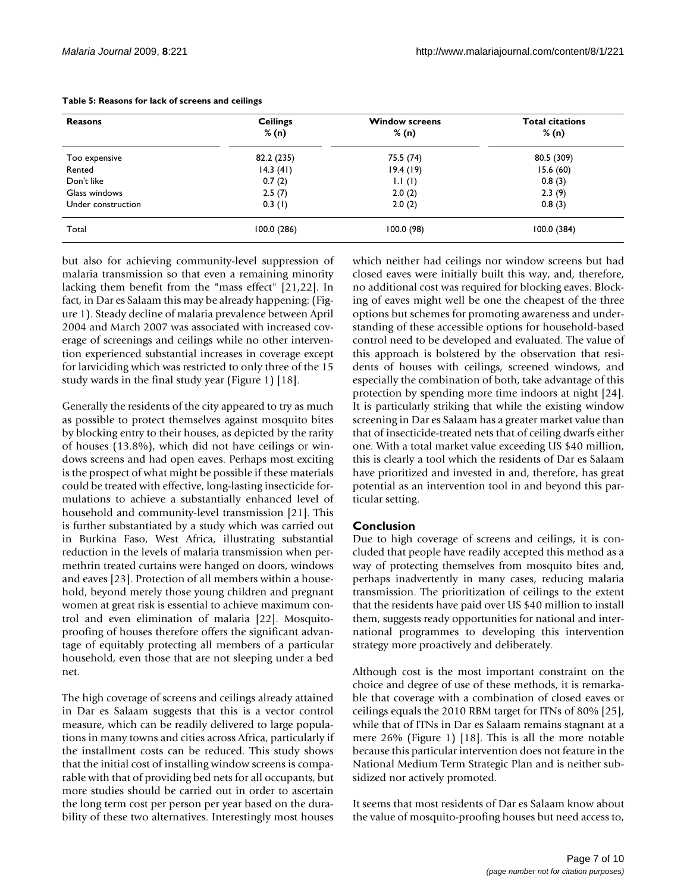| <b>Reasons</b>     | <b>Ceilings</b><br>% (n) | <b>Window screens</b><br>% (n) | <b>Total citations</b><br>% (n) |
|--------------------|--------------------------|--------------------------------|---------------------------------|
| Too expensive      | 82.2 (235)               | 75.5 (74)                      | 80.5 (309)                      |
| Rented             | 14.3(41)                 | 19.4(19)                       | 15.6(60)                        |
| Don't like         | 0.7(2)                   | 1.1(1)                         | 0.8(3)                          |
| Glass windows      | 2.5(7)                   | 2.0(2)                         | 2.3(9)                          |
| Under construction | 0.3(1)                   | 2.0(2)                         | 0.8(3)                          |
| Total              | 100.0 (286)              | 100.0(98)                      | 100.0(384)                      |

#### <span id="page-6-0"></span>**Table 5: Reasons for lack of screens and ceilings**

but also for achieving community-level suppression of malaria transmission so that even a remaining minority lacking them benefit from the "mass effect" [\[21](#page-9-19)[,22](#page-9-20)]. In fact, in Dar es Salaam this may be already happening: (Figure [1](#page-2-0)). Steady decline of malaria prevalence between April 2004 and March 2007 was associated with increased coverage of screenings and ceilings while no other intervention experienced substantial increases in coverage except for larviciding which was restricted to only three of the 15 study wards in the final study year (Figure [1](#page-2-0)) [\[18](#page-9-16)].

Generally the residents of the city appeared to try as much as possible to protect themselves against mosquito bites by blocking entry to their houses, as depicted by the rarity of houses (13.8%), which did not have ceilings or windows screens and had open eaves. Perhaps most exciting is the prospect of what might be possible if these materials could be treated with effective, long-lasting insecticide formulations to achieve a substantially enhanced level of household and community-level transmission [\[21](#page-9-19)]. This is further substantiated by a study which was carried out in Burkina Faso, West Africa, illustrating substantial reduction in the levels of malaria transmission when permethrin treated curtains were hanged on doors, windows and eaves [\[23](#page-9-21)]. Protection of all members within a household, beyond merely those young children and pregnant women at great risk is essential to achieve maximum control and even elimination of malaria [\[22](#page-9-20)]. Mosquitoproofing of houses therefore offers the significant advantage of equitably protecting all members of a particular household, even those that are not sleeping under a bed net.

The high coverage of screens and ceilings already attained in Dar es Salaam suggests that this is a vector control measure, which can be readily delivered to large populations in many towns and cities across Africa, particularly if the installment costs can be reduced. This study shows that the initial cost of installing window screens is comparable with that of providing bed nets for all occupants, but more studies should be carried out in order to ascertain the long term cost per person per year based on the durability of these two alternatives. Interestingly most houses

which neither had ceilings nor window screens but had closed eaves were initially built this way, and, therefore, no additional cost was required for blocking eaves. Blocking of eaves might well be one the cheapest of the three options but schemes for promoting awareness and understanding of these accessible options for household-based control need to be developed and evaluated. The value of this approach is bolstered by the observation that residents of houses with ceilings, screened windows, and especially the combination of both, take advantage of this protection by spending more time indoors at night [\[24](#page-9-22)]. It is particularly striking that while the existing window screening in Dar es Salaam has a greater market value than that of insecticide-treated nets that of ceiling dwarfs either one. With a total market value exceeding US \$40 million, this is clearly a tool which the residents of Dar es Salaam have prioritized and invested in and, therefore, has great potential as an intervention tool in and beyond this particular setting.

## **Conclusion**

Due to high coverage of screens and ceilings, it is concluded that people have readily accepted this method as a way of protecting themselves from mosquito bites and, perhaps inadvertently in many cases, reducing malaria transmission. The prioritization of ceilings to the extent that the residents have paid over US \$40 million to install them, suggests ready opportunities for national and international programmes to developing this intervention strategy more proactively and deliberately.

Although cost is the most important constraint on the choice and degree of use of these methods, it is remarkable that coverage with a combination of closed eaves or ceilings equals the 2010 RBM target for ITNs of 80% [\[25](#page-9-23)], while that of ITNs in Dar es Salaam remains stagnant at a mere 26% (Figure [1\)](#page-2-0) [[18\]](#page-9-16). This is all the more notable because this particular intervention does not feature in the National Medium Term Strategic Plan and is neither subsidized nor actively promoted.

It seems that most residents of Dar es Salaam know about the value of mosquito-proofing houses but need access to,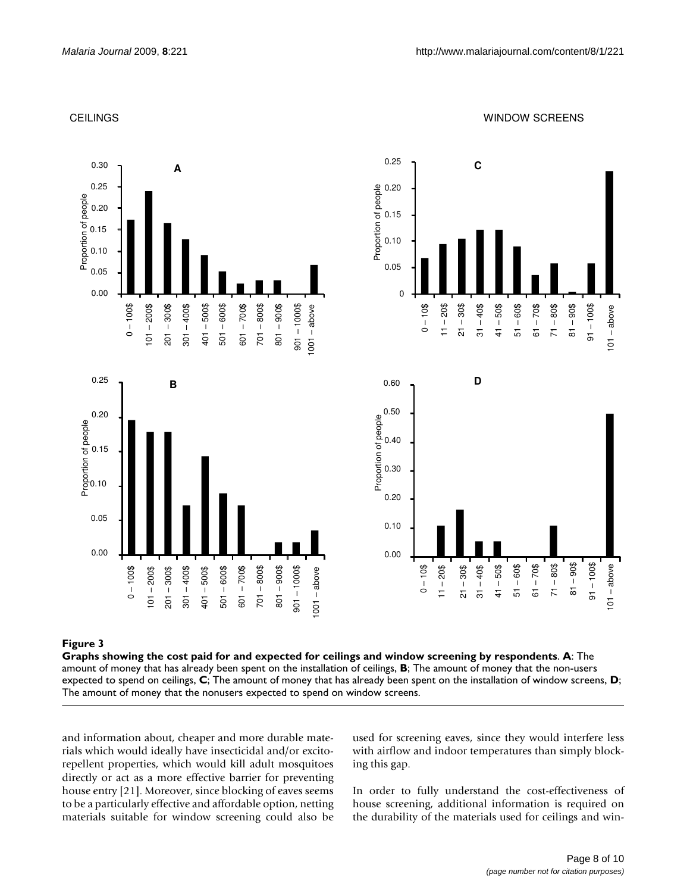<span id="page-7-0"></span>CEILINGS

WINDOW SCREENS



#### Graphs showing the cost paid for and expected fo **Figure 3** r ceilings and window screening by respondents

**Graphs showing the cost paid for and expected for ceilings and window screening by respondents**. **A**: The amount of money that has already been spent on the installation of ceilings, **B**; The amount of money that the non-users expected to spend on ceilings, **C**; The amount of money that has already been spent on the installation of window screens, **D**; The amount of money that the nonusers expected to spend on window screens.

and information about, cheaper and more durable materials which would ideally have insecticidal and/or excitorepellent properties, which would kill adult mosquitoes directly or act as a more effective barrier for preventing house entry [[21](#page-9-19)]. Moreover, since blocking of eaves seems to be a particularly effective and affordable option, netting materials suitable for window screening could also be used for screening eaves, since they would interfere less with airflow and indoor temperatures than simply blocking this gap.

In order to fully understand the cost-effectiveness of house screening, additional information is required on the durability of the materials used for ceilings and win-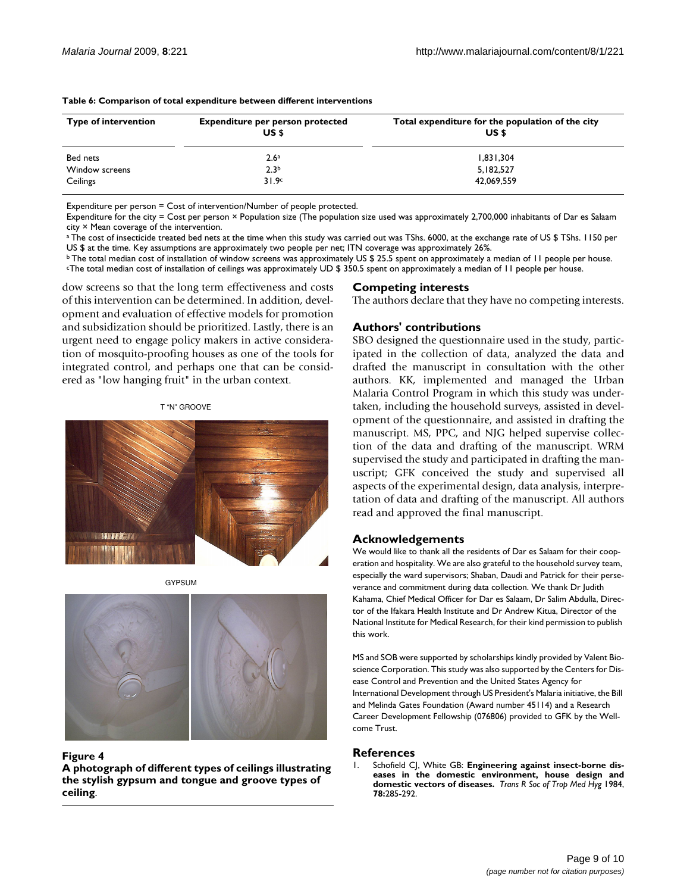| <b>Type of intervention</b> | <b>Expenditure per person protected</b><br>US \$ | Total expenditure for the population of the city<br>US \$ |
|-----------------------------|--------------------------------------------------|-----------------------------------------------------------|
| Bed nets                    | 2.6 <sup>a</sup>                                 | 1,831,304                                                 |
| Window screens              | 2.3 <sup>b</sup>                                 | 5,182,527                                                 |
| Ceilings                    | 31.9c                                            | 42.069.559                                                |

<span id="page-8-1"></span>**Table 6: Comparison of total expenditure between different interventions**

Expenditure per person = Cost of intervention/Number of people protected.

Expenditure for the city = Cost per person × Population size (The population size used was approximately 2,700,000 inhabitants of Dar es Salaam city × Mean coverage of the intervention.

<sup>a</sup> The cost of insecticide treated bed nets at the time when this study was carried out was TShs. 6000, at the exchange rate of US \$ TShs. 1150 per US \$ at the time. Key assumptions are approximately two people per net; ITN coverage was approximately 26%.

<sup>b</sup> The total median cost of installation of window screens was approximately US \$ 25.5 spent on approximately a median of II people per house. cThe total median cost of installation of ceilings was approximately UD \$ 350.5 spent on approximately a median of 11 people per house.

dow screens so that the long term effectiveness and costs of this intervention can be determined. In addition, development and evaluation of effective models for promotion and subsidization should be prioritized. Lastly, there is an urgent need to engage policy makers in active consideration of mosquito-proofing houses as one of the tools for integrated control, and perhaps one that can be consid-

T "N" GROOVE

<span id="page-8-2"></span>ered as "low hanging fruit" in the urban context.



**GYPSUM** 



#### Figure 4

**A photograph of different types of ceilings illustrating the stylish gypsum and tongue and groove types of ceiling**.

#### **Competing interests**

The authors declare that they have no competing interests.

#### **Authors' contributions**

SBO designed the questionnaire used in the study, participated in the collection of data, analyzed the data and drafted the manuscript in consultation with the other authors. KK, implemented and managed the Urban Malaria Control Program in which this study was undertaken, including the household surveys, assisted in development of the questionnaire, and assisted in drafting the manuscript. MS, PPC, and NJG helped supervise collection of the data and drafting of the manuscript. WRM supervised the study and participated in drafting the manuscript; GFK conceived the study and supervised all aspects of the experimental design, data analysis, interpretation of data and drafting of the manuscript. All authors read and approved the final manuscript.

#### **Acknowledgements**

We would like to thank all the residents of Dar es Salaam for their cooperation and hospitality. We are also grateful to the household survey team, especially the ward supervisors; Shaban, Daudi and Patrick for their perseverance and commitment during data collection. We thank Dr Judith Kahama, Chief Medical Officer for Dar es Salaam, Dr Salim Abdulla, Director of the Ifakara Health Institute and Dr Andrew Kitua, Director of the National Institute for Medical Research, for their kind permission to publish this work.

MS and SOB were supported by scholarships kindly provided by Valent Bioscience Corporation. This study was also supported by the Centers for Disease Control and Prevention and the United States Agency for International Development through US President's Malaria initiative, the Bill and Melinda Gates Foundation (Award number 45114) and a Research Career Development Fellowship (076806) provided to GFK by the Wellcome Trust.

#### **References**

<span id="page-8-0"></span>Schofield CJ, White GB: *Engineering against insect-borne dis***eases in the domestic environment, house design and domestic vectors of diseases.** *Trans R Soc of Trop Med Hyg* 1984, **78:**285-292.